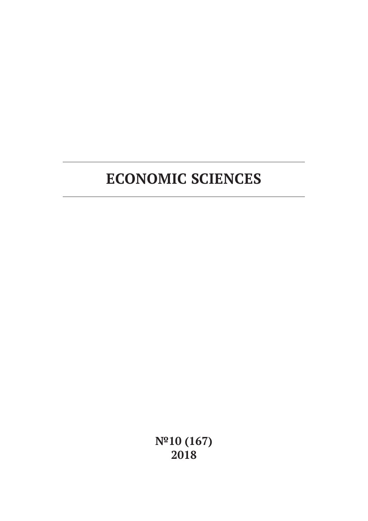**№10 (167) 2018**

# **ECONOMIC SCIENCES**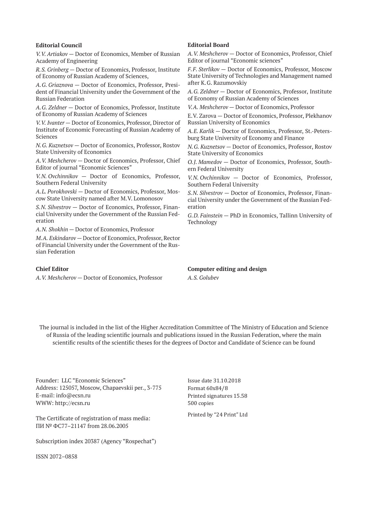#### **Editorial Council**

*V.V. Artiakov* — Doctor of Economics, Member of Russian Academy of Engineering

*R.S. Grinberg* — Doctor of Economics, Professor, Institute of Economy of Russian Academy of Sciences,

*A.G. Griaznova* — Doctor of Economics, Professor, President of Financial University under the Government of the Russian Federation

*A.G. Zeldner* — Doctor of Economics, Professor, Institute of Economy of Russian Academy of Sciences

*V.V. Ivanter* — Doctor of Economics, Professor, Director of Institute of Economic Forecasting of Russian Academy of Sciences

*N.G. Kuznetsov* — Doctor of Economics, Professor, Rostov State University of Economics

*A.V. Meshcherov* — Doctor of Economics, Professor, Chief Editor of journal "Economic Sciences"

*V.N. Ovchinnikov* — Doctor of Economics, Professor, Southern Federal University

*A.L. Porokhovski* — Doctor of Economics, Professor, Moscow State University named after M.V. Lomonosov

*S.N. Silvestrov* — Doctor of Economics, Professor, Financial University under the Government of the Russian Federation

*A.N. Shokhin* — Doctor of Economics, Professor

*M.A. Eskindarov* — Doctor of Economics, Professor, Rector of Financial University under the Government of the Russian Federation

#### **Chief Editor**

*A.V. Meshcherov* — Doctor of Economics, Professor

#### **Editorial Board**

*A.V. Meshcherov* — Doctor of Economics, Professor, Chief Editor of journal "Economic sciences"

*F.F. Sterlikov* — Doctor of Economics, Professor, Moscow State University of Technologies and Management named after K.G. Razumovskiy

*A.G. Zeldner* — Doctor of Economics, Professor, Institute of Economy of Russian Academy of Sciences

*V.A. Meshcherov* — Doctor of Economics, Professor

E.V. Zarova — Doctor of Economics, Professor, Plekhanov Russian University of Economics

*A.E. Karlik* — Doctor of Economics, Professor, St.-Petersburg State University of Economy and Finance

*N.G. Kuznetsov* — Doctor of Economics, Professor, Rostov State University of Economics

*O.J. Mamedov* — Doctor of Economics, Professor, Southern Federal University

*V.N. Ovchinnikov* — Doctor of Economics, Professor, Southern Federal University

*S.N. Silvestrov* — Doctor of Economics, Professor, Financial University under the Government of the Russian Federation

*G.D. Fainstein* — PhD in Economics, Tallinn University of Technology

**Computer editing and design** *A.S. Golubev*

The journal is included in the list of the Higher Accreditation Committee of The Ministry of Education and Science of Russia of the leading scientific journals and publications issued in the Russian Federation, where the main scientific results of the scientific theses for the degrees of Doctor and Candidate of Science can be found

Founder: LLC "Economic Sciences" Address: 125057, Moscow, Chapaevskii per., 3-775 E-mail: info@ecsn.ru WWW: http://ecsn.ru

The Certificate of registration of mass media: ПИ № ФС77–21147 from 28.06.2005

Subscription index 20387 (Agency "Rospechat")

ISSN 2072–0858

Issue date 31.10.2018 Format 60х84/8 Printed signatures 15.58 500 copies

Printed by "24 Print" Ltd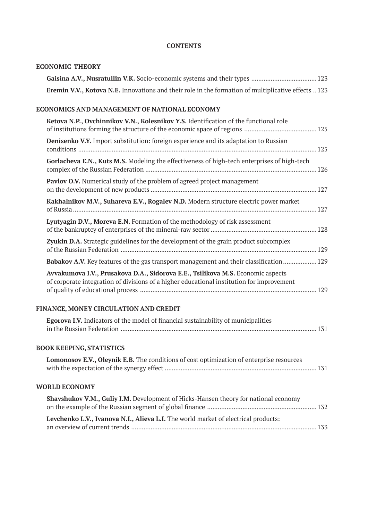# **CONTENTS**

# **ECONOMIC THEORY**

| Gaisina A.V., Nusratullin V.K. Socio-economic systems and their types  123                                                                                                   |  |
|------------------------------------------------------------------------------------------------------------------------------------------------------------------------------|--|
| Eremin V.V., Kotova N.E. Innovations and their role in the formation of multiplicative effects  123                                                                          |  |
| ECONOMICS AND MANAGEMENT OF NATIONAL ECONOMY                                                                                                                                 |  |
| Ketova N.P., Ovchinnikov V.N., Kolesnikov Y.S. Identification of the functional role                                                                                         |  |
| Denisenko V.Y. Import substitution: foreign experience and its adaptation to Russian                                                                                         |  |
| Gorlacheva E.N., Kuts M.S. Modeling the effectiveness of high-tech enterprises of high-tech                                                                                  |  |
| Pavlov O.V. Numerical study of the problem of agreed project management                                                                                                      |  |
| Kakhalnikov M.V., Suhareva E.V., Rogalev N.D. Modern structure electric power market                                                                                         |  |
| Lyutyagin D.V., Moreva E.N. Formation of the methodology of risk assessment                                                                                                  |  |
| Zyukin D.A. Strategic guidelines for the development of the grain product subcomplex                                                                                         |  |
| Babakov A.V. Key features of the gas transport management and their classification 129                                                                                       |  |
| Avvakumova I.V., Prusakova D.A., Sidorova E.E., Tsilikova M.S. Economic aspects<br>of corporate integration of divisions of a higher educational institution for improvement |  |
| FINANCE, MONEY CIRCULATION AND CREDIT                                                                                                                                        |  |
| Egorova I.V. Indicators of the model of financial sustainability of municipalities                                                                                           |  |
| <b>BOOK KEEPING, STATISTICS</b>                                                                                                                                              |  |
| Lomonosov E.V., Oleynik E.B. The conditions of cost optimization of enterprise resources                                                                                     |  |
| <b>WORLD ECONOMY</b>                                                                                                                                                         |  |
| Shavshukov V.M., Guliy I.M. Development of Hicks-Hansen theory for national economy                                                                                          |  |
| Levchenko L.V., Ivanova N.I., Alieva L.I. The world market of electrical products:                                                                                           |  |
|                                                                                                                                                                              |  |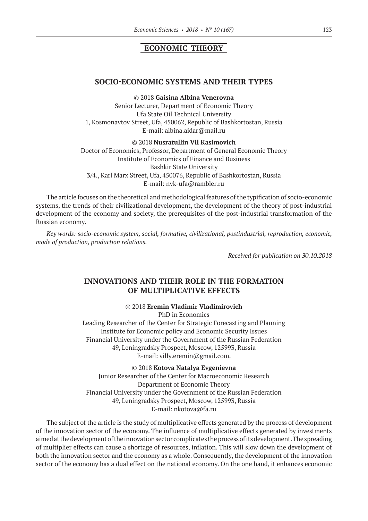# **ECONOMIC THEORY**

#### **SOCIO-ECONOMIC SYSTEMS AND THEIR TYPES**

©© 2018 **Gaisina Albina Venerovna**

Senior Lecturer, Department of Economic Theory Ufa State Oil Technical University 1, Kosmonavtov Street, Ufa, 450062, Republic of Bashkortostan, Russia E‑mail: albina.aidar@mail.ru

©© 2018 **Nusratullin Vil Kasimovich**

Doctor of Economics, Professor, Department of General Economic Theory Institute of Economics of Finance and Business Bashkir State University 3/4., Karl Marx Street, Ufa, 450076, Republic of Bashkortostan, Russia E‑mail: nvk-ufa@rambler.ru

The article focuses on the theoretical and methodological features of the typification of socio-economic systems, the trends of their civilizational development, the development of the theory of post-industrial development of the economy and society, the prerequisites of the post-industrial transformation of the Russian economy.

*Key words: socio-economic system, social, formative, civilizational, postindustrial, reproduction, economic, mode of production, production relations.*

*Received for publication on 30.10.2018*

## **INNOVATIONS AND THEIR ROLE IN THE FORMATION OF MULTIPLICATIVE EFFECTS**

#### ©© 2018 **Eremin Vladimir Vladimirovich**

PhD in Economics Leading Researcher of the Center for Strategic Forecasting and Planning Institute for Economic policy and Economic Security Issues Financial University under the Government of the Russian Federation 49, Leningradsky Prospect, Moscow, 125993, Russia E‑mail: villy.eremin@gmail.com.

©© 2018 **Kotova Natalya Evgenievna** Junior Researcher of the Center for Macroeconomic Research Department of Economic Theory Financial University under the Government of the Russian Federation 49, Leningradsky Prospect, Moscow, 125993, Russia E‑mail: nkotova@fa.ru

The subject of the article is the study of multiplicative effects generated by the process of development of the innovation sector of the economy. The influence of multiplicative effects generated by investments aimed at the development of the innovation sector complicates the process of its development. The spreading of multiplier effects can cause a shortage of resources, inflation. This will slow down the development of both the innovation sector and the economy as a whole. Consequently, the development of the innovation sector of the economy has a dual effect on the national economy. On the one hand, it enhances economic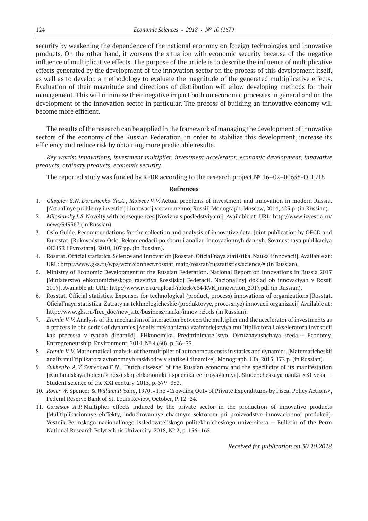security by weakening the dependence of the national economy on foreign technologies and innovative products. On the other hand, it worsens the situation with economic security because of the negative influence of multiplicative effects. The purpose of the article is to describe the influence of multiplicative effects generated by the development of the innovation sector on the process of this development itself, as well as to develop a methodology to evaluate the magnitude of the generated multiplicative effects. Evaluation of their magnitude and directions of distribution will allow developing methods for their management. This will minimize their negative impact both on economic processes in general and on the development of the innovation sector in particular. The process of building an innovative economy will become more efficient.

The results of the research can be applied in the framework of managing the development of innovative sectors of the economy of the Russian Federation, in order to stabilize this development, increase its efficiency and reduce risk by obtaining more predictable results.

*Key words: innovations, investment multiplier, investment accelerator, economic development, innovative products, ordinary products, economic security.*

The reported study was funded by RFBR according to the research project № 16–02–00658-ОГН/18

#### **Refrences**

- 1. *Glagolev S.N. Doroshenko Yu.A., Moiseev V.V.* Actual problems of investment and innovation in modern Russia. [Aktual'nye problemy investicij i innovacij v sovremennoj Rossii] Monograph. Moscow, 2014, 425 p. (in Russian).
- 2. *Miloslavsky I.S.* Novelty with consequences [Novizna s posledstviyami]. Available at: URL: http://www.izvestia.ru/ news/349367 (in Russian).
- 3. Oslo Guide. Recommendations for the collection and analysis of innovative data. Joint publication by OECD and Eurostat. [Rukovodstvo Oslo. Rekomendacii po sboru i analizu innovacionnyh dannyh. Sovmestnaya publikaciya OEHSR i Evrostata]. 2010, 107 pp. (in Russian).
- 4. Rosstat. Official statistics. Science and Innovation [Rosstat. Oficial'naya statistika. Nauka i innovacii]. Available at: URL: http://www.gks.ru/wps/wcm/connect/rosstat\_main/rosstat/ru/statistics/science/# (in Russian).
- 5. Ministry of Economic Development of the Russian Federation. National Report on Innovations in Russia 2017 [Ministerstvo ehkonomicheskogo razvitiya Rossijskoj Federacii. Nacional'nyj doklad ob innovaciyah v Rossii 2017]. Available at: URL: http://www.rvc.ru/upload/iblock/c64/RVK\_innovation\_2017.pdf (in Russian).
- 6. Rosstat. Official statistics. Expenses for technological (product, process) innovations of organizations [Rosstat. Oficial'naya statistika. Zatraty na tekhnologicheskie (produktovye, processnye) innovacii organizacij] Available at: http://www.gks.ru/free\_doc/new\_site/business/nauka/innov-n5.xls (in Russian).
- 7. *Eremin V.V.* Analysis of the mechanism of interaction between the multiplier and the accelerator of investments as a process in the series of dynamics [Analiz mekhanizma vzaimodejstviya mul'tiplikatora i akseleratora investicij kak processa v ryadah dinamiki]. EHkonomika. Predprinimatel'stvo. Okruzhayushchaya sreda.— Economy. Entrepreneurship. Environment. 2014, № 4 (60), p. 26–33.
- 8. *Eremin V.V.* Mathematical analysis of the multiplier of autonomous costs in statics and dynamics. [Matematicheskij analiz mul'tiplikatora avtonomnyh raskhodov v statike i dinamike]. Monograph. Ufa, 2015, 172 p. (in Russian).
- 9. *Sukhenko A.V. Semenova E.N.* "Dutch disease" of the Russian economy and the specificity of its manifestation [«Gollandskaya bolezn'» rossijskoj ehkonomiki i specifika ee proyavleniya]. Studencheskaya nauka XXI veka — Student science of the XXI century. 2015, p. 379–383.
- 10. *Roger W.* Spencer & *William P.* Yohe, 1970. «The «Crowding Out» of Private Expenditures by Fiscal Policy Actions», Federal Reserve Bank of St. Louis Review, October, P. 12–24.
- 11. *Gorshkov A.P.* Multiplier effects induced by the private sector in the production of innovative products [Mul'tiplikacionnye ehffekty, inducirovannye chastnym sektorom pri proizvodstve innovacionnoj produkcii]. Vestnik Permskogo nacional'nogo issledovatel'skogo politekhnicheskogo universiteta — Bulletin of the Perm National Research Polytechnic University. 2018, № 2, p. 156–165.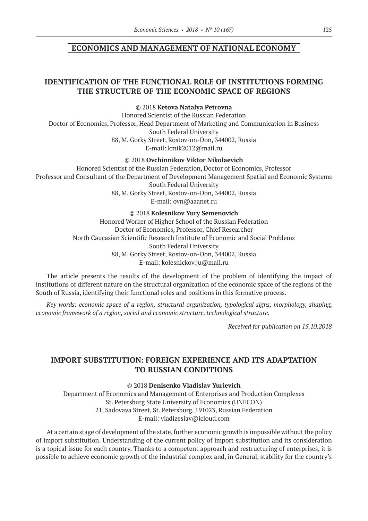## **ECONOMICS AND MANAGEMENT OF NATIONAL ECONOMY**

## **IDENTIFICATION OF THE FUNCTIONAL ROLE OF INSTITUTIONS FORMING THE STRUCTURE OF THE ECONOMIC SPACE OF REGIONS**

©© 2018 **Ketova Natalya Petrovna**

Honored Scientist of the Russian Federation Doctor of Economics, Professor, Head Department of Marketing and Communication in Business South Federal University 88, M. Gorky Street, Rostov-on-Don, 344002, Russia E‑mail: kmik2012@mail.ru

©© 2018 **Ovchinnikov Viktor Nikolaevich**

Honored Scientist of the Russian Federation, Doctor of Economics, Professor Professor and Consultant of the Department of Development Management Spatial and Economic Systems South Federal University 88, M. Gorky Street, Rostov-on-Don, 344002, Russia E‑mail: ovn@aaanet.ru

©© 2018 **Kolesnikov Yury Semenovich**

Honored Worker of Higher School of the Russian Federation Doctor of Economics, Professor, Chief Researcher North Caucasian Scientific Research Institute of Economic and Social Problems South Federal University 88, M. Gorky Street, Rostov-on-Don, 344002, Russia E‑mail: kolesnickov.ju@mail.ru

The article presents the results of the development of the problem of identifying the impact of institutions of different nature on the structural organization of the economic space of the regions of the South of Russia, identifying their functional roles and positions in this formative process.

*Key words: economic space of a region, structural organization, typological signs, morphology, shaping, economic framework of a region, social and economic structure, technological structure.*

*Received for publication on 15.10.2018*

## **IMPORT SUBSTITUTION: FOREIGN EXPERIENCE AND ITS ADAPTATION TO RUSSIAN CONDITIONS**

©© 2018 **Denisenko Vladislav Yurievich**

Department of Economics and Management of Enterprises and Production Complexes St. Petersburg State University of Economics (UNECON) 21, Sadovaya Street, St. Petersburg, 191023, Russian Federation E‑mail: vladizeslav@icloud.com

At a certain stage of development of the state, further economic growth is impossible without the policy of import substitution. Understanding of the current policy of import substitution and its consideration is a topical issue for each country. Thanks to a competent approach and restructuring of enterprises, it is possible to achieve economic growth of the industrial complex and, in General, stability for the country's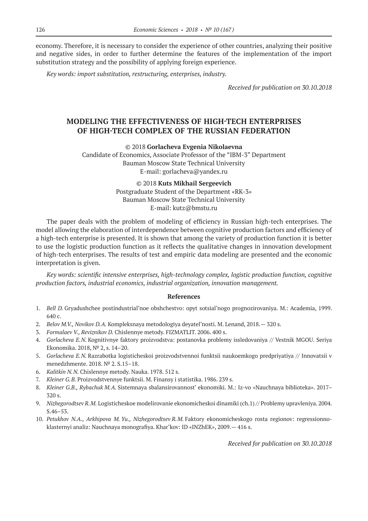economy. Therefore, it is necessary to consider the experience of other countries, analyzing their positive and negative sides, in order to further determine the features of the implementation of the import substitution strategy and the possibility of applying foreign experience.

*Key words: import substitution, restructuring, enterprises, industry.*

*Received for publication on 30.10.2018*

## **MODELING THE EFFECTIVENESS OF HIGH-TECH ENTERPRISES OF HIGH-TECH COMPLEX OF THE RUSSIAN FEDERATION**

©© 2018 **Gorlacheva Evgenia Nikolaevna**

Candidate of Economics, Associate Professor of the "IBM‑3" Department Bauman Moscow State Technical University E‑mail: gorlacheva@yandex.ru

> ©© 2018 **Kuts Mikhail Sergeevich** Postgraduate Student of the Department «RK‑3» Bauman Moscow State Technical University E‑mail: kutz@bmstu.ru

The paper deals with the problem of modeling of efficiency in Russian high-tech enterprises. The model allowing the elaboration of interdependence between cognitive production factors and efficiency of a high-tech enterprise is presented. It is shown that among the variety of production function it is better to use the logistic production function as it reflects the qualitative changes in innovation development of high-tech enterprises. The results of test and empiric data modeling are presented and the economic interpretation is given.

*Key words: scientific intensive enterprises, high-technology complex, logistic production function, cognitive production factors, industrial economics, industrial organization, innovation management.*

#### **References**

- 1. *Bell D.* Gryadushchee postindustrial'noe obshchestvo: opyt sotsial'nogo prognozirovaniya. M.: Academia, 1999. 640 c.
- 2. *Belov M.V., Novikov D.A.* Kompleksnaya metodologiya deyatel'nosti. M. Lenand, 2018.— 320 s.
- 3. *Formalaev V., Reviznikov D.* Chislennye metody. FIZMATLIT. 2006. 400 s.
- 4. *Gorlacheva E.N.* Kognitivnye faktory proizvodstva: postanovka problemy issledovaniya // Vestnik MGOU. Seriya Ekonomika. 2018, № 2, s. 14–20.
- 5. *Gorlacheva E.N.* Razrabotka logisticheskoi proizvodstvennoi funktsii naukoemkogo predpriyatiya // Innovatsii v menedzhmente. 2018. № 2. S.15–18.
- 6. *Kalitkin N.N.* Chislennye metody. Nauka. 1978. 512 s.
- 7. *Kleiner G.B.* Proizvodstvennye funktsii. M. Finansy i statistika. 1986. 239 s.
- 8. *Kleiner G.B., Rybachuk M.A.* Sistemnaya sbalansirovannost' ekonomiki. M.: Iz-vo «Nauchnaya biblioteka». 2017– 320 s.
- 9. *Nizhegorodtsev R.M.* Logisticheskoe modelirovanie ekonomicheskoi dinamiki (ch.1) // Problemy upravleniya. 2004. S.46–53.
- 10. *Petukhov N.A., Arkhipova M. Yu., Nizhegorodtsev R.M.* Faktory ekonomicheskogo rosta regionov: regressionnoklasternyi analiz: Nauchnaya monografiya. Khar'kov: ID «INZhEK», 2009.— 416 s.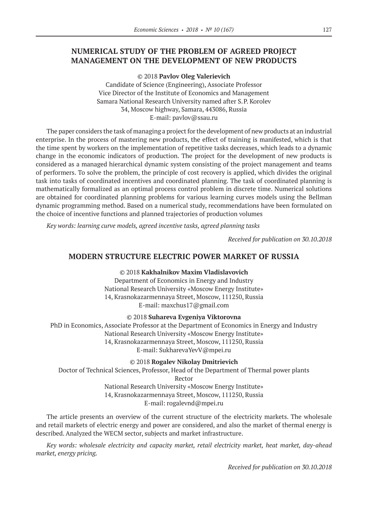## **NUMERICAL STUDY OF THE PROBLEM OF AGREED PROJECT MANAGEMENT ON THE DEVELOPMENT OF NEW PRODUCTS**

©© 2018 **Pavlov Oleg Valerievich**

Candidate of Science (Engineering), Associate Professor Vice Director of the Institute of Economics and Management Samara National Research University named after S.Р. Korolev 34, Moscow highway, Samara, 443086, Russia E‑mail: pavlov@ssau.ru

The paper considers the task of managing a project for the development of new products at an industrial enterprise. In the process of mastering new products, the effect of training is manifested, which is that the time spent by workers on the implementation of repetitive tasks decreases, which leads to a dynamic change in the economic indicators of production. The project for the development of new products is considered as a managed hierarchical dynamic system consisting of the project management and teams of performers. To solve the problem, the principle of cost recovery is applied, which divides the original task into tasks of coordinated incentives and coordinated planning. The task of coordinated planning is mathematically formalized as an optimal process control problem in discrete time. Numerical solutions are obtained for coordinated planning problems for various learning curves models using the Bellman dynamic programming method. Based on a numerical study, recommendations have been formulated on the choice of incentive functions and planned trajectories of production volumes

*Key words: learning curve models, agreed incentive tasks, agreed planning tasks*

*Received for publication on 30.10.2018*

## **MODERN STRUCTURE ELECTRIC POWER MARKET OF RUSSIA**

©© 2018 **Kakhalnikov Maxim Vladislavovich**

Department of Economics in Energy and Industry National Research University «Moscow Energy Institute» 14, Krasnokazarmennaya Street, Moscow, 111250, Russia E‑mail: maxchus17@gmail.com

©© 2018 **Suhareva Evgeniya Viktorovna**

PhD in Economics, Associate Professor at the Department of Economics in Energy and Industry National Research University «Moscow Energy Institute» 14, Krasnokazarmennaya Street, Moscow, 111250, Russia E‑mail: SukharevaYevV@mpei.ru

©© 2018 **Rogalev Nikolay Dmitrievich**

Doctor of Technical Sciences, Professor, Head of the Department of Thermal power plants Rector National Research University «Moscow Energy Institute»

14, Krasnokazarmennaya Street, Moscow, 111250, Russia

E‑mail: rogalevnd@mpei.ru

The article presents an overview of the current structure of the electricity markets. The wholesale and retail markets of electric energy and power are considered, and also the market of thermal energy is described. Analyzed the WECM sector, subjects and market infrastructure.

*Key words: wholesale electricity and capacity market, retail electricity market, heat market, day-ahead market, energy pricing.*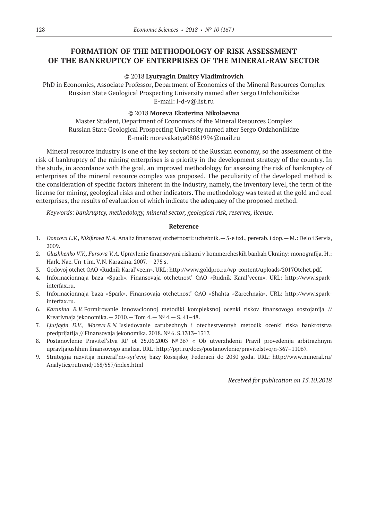# **FORMATION OF THE METHODOLOGY OF RISK ASSESSMENT OF THE BANKRUPTCY OF ENTERPRISES OF THE MINERAL-RAW SECTOR**

#### ©© 2018 **Lyutyagin Dmitry Vladimirovich**

PhD in Economics, Associate Professor, Department of Economics of the Mineral Resources Complex Russian State Geological Prospecting University named after Sergo Ordzhonikidze E‑mail: l-d-v@list.ru

#### ©© 2018 **Moreva Ekaterina Nikolaevna**

Master Student, Department of Economics of the Mineral Resources Complex Russian State Geological Prospecting University named after Sergo Ordzhonikidze E‑mail: morevakatya08061994@mail.ru

Mineral resource industry is one of the key sectors of the Russian economy, so the assessment of the risk of bankruptcy of the mining enterprises is a priority in the development strategy of the country. In the study, in accordance with the goal, an improved methodology for assessing the risk of bankruptcy of enterprises of the mineral resource complex was proposed. The peculiarity of the developed method is the consideration of specific factors inherent in the industry, namely, the inventory level, the term of the license for mining, geological risks and other indicators. The methodology was tested at the gold and coal enterprises, the results of evaluation of which indicate the adequacy of the proposed method.

*Keywords: bankruptcy, methodology, mineral sector, geological risk, reserves, license.*

#### **Reference**

- 1. *Doncova L.V., Nikifirova N.A.* Analiz finansovoj otchetnosti: uchebnik.— 5-e izd., pererab. i dop.— M.: Delo i Servis, 2009.
- 2. *Glushhenko V.V., Fursova V.A.* Upravlenie finansovymi riskami v kommercheskih bankah Ukrainy: monografija. H.: Hark. Nac. Un-t im. V.N. Karazina. 2007.— 275 s.
- 3. Godovoj otchet OAO «Rudnik Karal'veem». URL: http://www.goldpro.ru/wp-content/uploads/2017Otchet.pdf.
- 4. Informacionnaja baza «Spark». Finansovaja otchetnost' OAO «Rudnik Karal'veem». URL: http://www.sparkinterfax.ru.
- 5. Informacionnaja baza «Spark». Finansovaja otchetnost' OAO «Shahta «Zarechnaja». URL: http://www.sparkinterfax.ru.
- 6. *Karanina E.V.* Formirovanie innovacionnoj metodiki kompleksnoj ocenki riskov finansovogo sostojanija // Kreativnaja jekonomika.  $-2010$ .  $-$  Tom  $4$ .  $-$  N°  $4$ .  $-$  S.  $41-48$ .
- 7. *Ljutjagin D.V., Moreva E.N.* Issledovanie zarubezhnyh i otechestvennyh metodik ocenki riska bankrotstva predprijatija // Finansovaja jekonomika. 2018. № 6. S.1313–1317.
- 8. Postanovlenie Pravitel'stva RF ot 25.06.2003 № 367 « Ob utverzhdenii Pravil provedenija arbitrazhnym upravljajushhim finansovogo analiza. URL: http://ppt.ru/docs/postanovlenie/pravitelstvo/n‑367–11067.
- 9. Strategija razvitija mineral'no-syr'evoj bazy Rossijskoj Federacii do 2030 goda. URL: http://www.mineral.ru/ Analytics/rutrend/168/557/index.html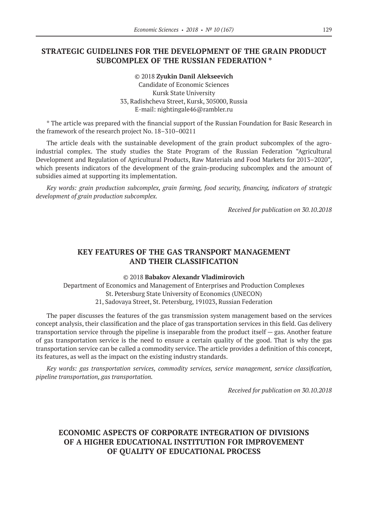## **STRATEGIC GUIDELINES FOR THE DEVELOPMENT OF THE GRAIN PRODUCT SUBCOMPLEX OF THE RUSSIAN FEDERATION \***

©© 2018 **Zyukin Danil Alekseevich** Candidate of Economic Sciences Kursk State University 33, Radishcheva Street, Kursk, 305000, Russia E‑mail: nightingale46@rambler.ru

\* The article was prepared with the financial support of the Russian Foundation for Basic Research in the framework of the research project No. 18–310–00211

The article deals with the sustainable development of the grain product subcomplex of the agroindustrial complex. The study studies the State Program of the Russian Federation "Agricultural Development and Regulation of Agricultural Products, Raw Materials and Food Markets for 2013–2020", which presents indicators of the development of the grain-producing subcomplex and the amount of subsidies aimed at supporting its implementation.

*Key words: grain production subcomplex, grain farming, food security, financing, indicators of strategic development of grain production subcomplex.*

*Received for publication on 30.10.2018*

## **KEY FEATURES OF THE GAS TRANSPORT MANAGEMENT AND THEIR CLASSIFICATION**

©© 2018 **Babakov Alexandr Vladimirovich**

Department of Economics and Management of Enterprises and Production Complexes St. Petersburg State University of Economics (UNECON) 21, Sadovaya Street, St. Petersburg, 191023, Russian Federation

The paper discusses the features of the gas transmission system management based on the services concept analysis, their classification and the place of gas transportation services in this field. Gas delivery transportation service through the pipeline is inseparable from the product itself — gas. Another feature of gas transportation service is the need to ensure a certain quality of the good. That is why the gas transportation service can be called a commodity service. The article provides a definition of this concept, its features, as well as the impact on the existing industry standards.

*Key words: gas transportation services, commodity services, service management, service classification, pipeline transportation, gas transportation.*

*Received for publication on 30.10.2018*

# **ECONOMIC ASPECTS OF CORPORATE INTEGRATION OF DIVISIONS OF A HIGHER EDUCATIONAL INSTITUTION FOR IMPROVEMENT OF QUALITY OF EDUCATIONAL PROCESS**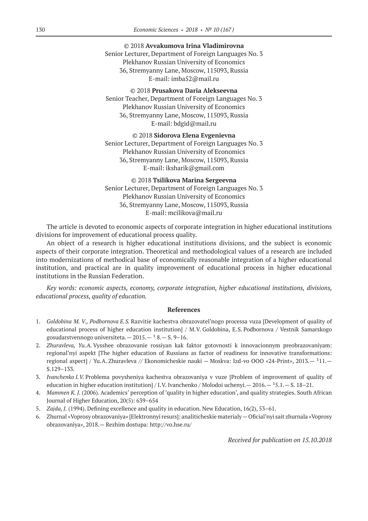©© 2018 **Avvakumova Irina Vladimirovna** Senior Lecturer, Department of Foreign Languages No. 3 Plekhanov Russian University of Economics 36, Stremyanny Lane, Moscow, 115093, Russia E‑mail: imba52@mail.ru

©© 2018 **Prusakova Daria Alekseevna** Senior Teacher, Department of Foreign Languages No. 3 Plekhanov Russian University of Economics 36, Stremyanny Lane, Moscow, 115093, Russia E‑mail: bdgid@mail.ru

©© 2018 **Sidorova Elena Evgenievna** Senior Lecturer, Department of Foreign Languages No. 3 Plekhanov Russian University of Economics 36, Stremyanny Lane, Moscow, 115093, Russia E‑mail: iksharik@gmail.com

©© 2018 **Tsilikova Marina Sergeevna** Senior Lecturer, Department of Foreign Languages No. 3 Plekhanov Russian University of Economics 36, Stremyanny Lane, Moscow, 115093, Russia E‑mail: mcilikova@mail.ru

The article is devoted to economic aspects of corporate integration in higher educational institutions divisions for improvement of educational process quality.

An object of a research is higher educational institutions divisions, and the subject is economic aspects of their corporate integration. Theoretical and methodological values of a research are included into modernizations of methodical base of economically reasonable integration of a higher educational institution, and practical are in quality improvement of educational process in higher educational institutions in the Russian Federation.

*Key words: economic aspects, economy, corporate integration, higher educational institutions, divisions, educational process, quality of education.*

#### **References**

- 1. *Goldobina M. V., Podbornova E.S.* Razvitie kachestva obrazovatel'nogo processa vuza [Development of quality of educational process of higher education institution] / M.V. Goldobina, E.S. Podbornova / Vestnik Samarskogo gosudarstvennogo universiteta.  $-2015. - 18. - 8.9 - 16.$
- 2. *Zhuravleva, Yu.A.* Vysshee obrazovanie rossiyan kak faktor gotovnosti k innovacionnym preobrazovaniyam: regional'nyi aspekt [The higher education of Russians as factor of readiness for innovative transformations: regional aspect] / Yu.A. Zhuravleva // Ekonomicheskie nauki — Moskva: Izd-vo OOO «24-Print», 2013.— <sup>1</sup>11.— S.129–133.
- 3. *Ivanchenko I.V.* Problema povysheniya kachestva obrazovaniya v vuze [Problem of improvement of quality of education in higher education institution] / I.V. Ivanchenko / Molodoi uchenyi.  $-$  2016.  $-$  15.1.  $-$  S. 18–21.
- 4. *Mammen K. J.* (2006). Academics' perception of 'quality in higher education', and quality strategies. South African Journal of Higher Education, 20(5): 639–654
- 5. *Zajda, J.* (1994). Defining excellence and quality in education. New Education, 16(2), 53–61.
- 6. Zhurnal «Voprosy obrazovaniya» [Elektronnyi resurs]: analiticheskie materialy—Oficial'nyi sait zhurnala «Voprosy obrazovaniya», 2018.— Rezhim dostupa: http://vo.hse.ru/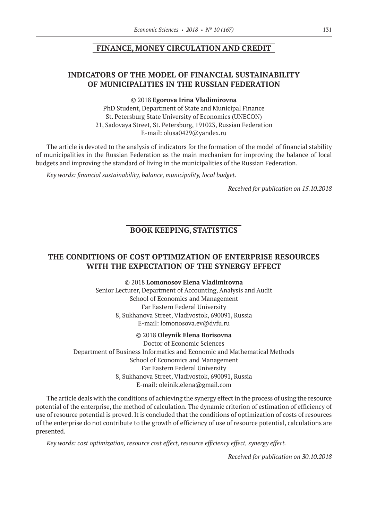## **FINANCE, MONEY CIRCULATION AND CREDIT**

## **INDICATORS OF THE MODEL OF FINANCIAL SUSTAINABILITY OF MUNICIPALITIES IN THE RUSSIAN FEDERATION**

©© 2018 **Egorova Irina Vladimirovna**

PhD Student, Department of State and Municipal Finance St. Petersburg State University of Economics (UNECON) 21, Sadovaya Street, St. Petersburg, 191023, Russian Federation E‑mail: olusa0429@yandex.ru

The article is devoted to the analysis of indicators for the formation of the model of financial stability of municipalities in the Russian Federation as the main mechanism for improving the balance of local budgets and improving the standard of living in the municipalities of the Russian Federation.

*Key words: financial sustainability, balance, municipality, local budget.*

*Received for publication on 15.10.2018*

## **BOOK KEEPING, STATISTICS**

## **THE CONDITIONS OF COST OPTIMIZATION OF ENTERPRISE RESOURCES WITH THE EXPECTATION OF THE SYNERGY EFFECT**

©© 2018 **Lomonosov Elena Vladimirovna**

Senior Lecturer, Department of Accounting, Analysis and Audit School of Economics and Management Far Eastern Federal University 8, Sukhanova Street, Vladivostok, 690091, Russia E‑mail: lomonosova.ev@dvfu.ru

#### ©© 2018 **Oleynik Elena Borisovna**

Doctor of Economic Sciences Department of Business Informatics and Economic and Mathematical Methods School of Economics and Management Far Eastern Federal University 8, Sukhanova Street, Vladivostok, 690091, Russia E‑mail: oleinik.elena@gmail.com

The article deals with the conditions of achieving the synergy effect in the process of using the resource potential of the enterprise, the method of calculation. The dynamic criterion of estimation of efficiency of use of resource potential is proved. It is concluded that the conditions of optimization of costs of resources of the enterprise do not contribute to the growth of efficiency of use of resource potential, calculations are presented.

*Key words: cost optimization, resource cost effect, resource efficiency effect, synergy effect.*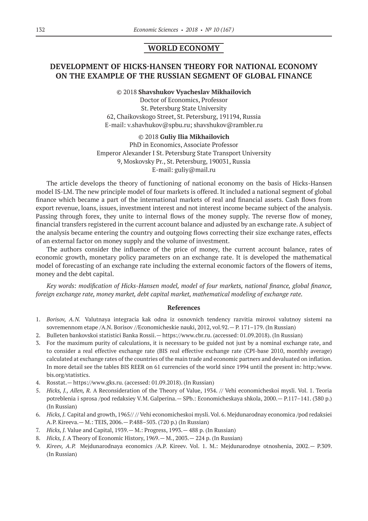## **WORLD ECONOMY**

## **DEVELOPMENT OF HICKS-HANSEN THEORY FOR NATIONAL ECONOMY ON THE EXAMPLE OF THE RUSSIAN SEGMENT OF GLOBAL FINANCE**

#### ©© 2018 **Shavshukov Vyacheslav Mikhailovich**

Dосtor of Economics, Professor St. Petersburg State University 62, Chaikovskogo Street, St. Petersburg, 191194, Russia E‑mail: v.shavhukov@spbu.ru; shavshukov@rambler.ru

### ©© 2018 **Guliy Ilia Mikhailovich** PhD in Economics, Associate Professor Emperor Alexander I St. Petersburg State Transport University 9, Moskovsky Pr., St. Petersburg, 190031, Russia E‑mail: guliy@mail.ru

The article develops the theory of functioning of national economy on the basis of Hicks-Hansen model IS-LM. The new principle model of four markets is offered. It included a national segment of global finance which became a part of the international markets of real and financial assets. Cash flows from export revenue, loans, issues, investment interest and not interest income became subject of the analysis. Passing through forex, they unite to internal flows of the money supply. The reverse flow of money, financial transfers registered in the current account balance and adjusted by an exchange rate. A subject of the analysis became entering the country and outgoing flows correcting their size exchange rates, effects of an external factor on money supply and the volume of investment.

The authors consider the influence of the price of money, the current account balance, rates of economic growth, monetary policy parameters on an exchange rate. It is developed the mathematical model of forecasting of an exchange rate including the external economic factors of the flowers of items, money and the debt capital.

*Key words: modification of Hicks-Hansen model, model of four markets, national finance, global finance, foreign exchange rate, money market, debt capital market, mathematical modeling of exchange rate.*

#### **References**

- 1. *Borisov, A.N.* Valutnaya integracia kak odna iz osnovnich tendency razvitia mirovoi valutnoy sistemi na sovremennom etape /A.N. Borisov //Economicheskie nauki, 2012, vol.92.— P. 171–179. (In Russian)
- 2. Bulleten bankovskoi statistici Banka Rossii.— https://www.cbr.ru. (accessed: 01.09.2018). (In Russian)
- 3. For the maximum purity of calculations, it is necessary to be guided not just by a nominal exchange rate, and to consider a real effective exchange rate (BIS real effective exchange rate (CPI-base 2010, monthly average) calculated at exchange rates of the countries of the main trade and economic partners and devaluated on inflation. In more detail see the tables BIS REER on 61 currencies of the world since 1994 until the present in: http:/www. bis.org/statistics.
- 4. Rosstat.— https://www.gks.ru. (accessed: 01.09.2018). (In Russian)
- 5. *Hicks, J., Allen, R.* A Reconsideration of the Theory of Value, 1934. // Vehi economicheskoi mysli. Vol. 1. Teoria potreblenia i sprosa /pod redaksiey V.M. Galperina.— SPb.: Economicheskaya shkola, 2000.— P.117–141. (380 p.) (In Russian)
- 6. *Hicks, J.* Capital and growth, 1965// // Vehi economicheskoi mysli. Vol. 6. Mejdunarodnay economica /pod redaksiei A.P. Kireeva.— M.: TEIS, 2006.— P.488–503. (720 p.) (In Russian)
- 7. *Hicks, J.* Value and Capital, 1939.— М.: Progress, 1993.— 488 p. (In Russian)
- 8. *Hicks, J.* A Theory of Economic History, 1969.— М., 2003.— 224 p. (In Russian)
- 9. *Kireev, A.P.* Mejdunarodnaya economics /А.P. Kireev. Vol. 1. М.: Mejdunarodnye otnoshenia, 2002.— P.309. (In Russian)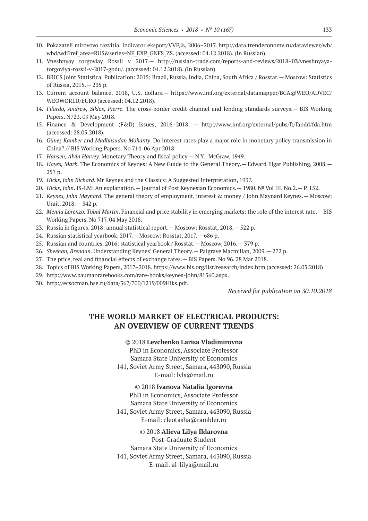- 10. Pokazateli mirovovo razvitia. Indicator eksport/VVP,%, 2006–2017. http://data.trendeconomy.ru/dataviewer/wb/ wbd/wdi?ref\_area=RUS&series=NE\_EXP\_GNFS\_ZS. (accessed: 04.12.2018). (In Russian).
- 11. Vneshnyay torgovlay Rossii v 2017.— http://russian-trade.com/reports-and-reviews/2018–03/vneshnyayatorgovlya-rossii-v‑2017-godu/. (accessed: 04.12.2018). (In Russian)
- 12. BRICS Joint Statistical Publication: 2015; Brazil, Russia, India, China, South Africa / Rosstat.— Moscow: Statistics of Russia, 2015.— 235 p.
- 13. Current account balance, 2018, U.S. dollars.— https://www.imf.org/external/datamapper/BCA@WEO/ADVEC/ WEOWORLD/EURO (accessed: 04.12.2018).
- 14. *Filardo, Andrew, Siklos, Pierre*. The cross-border credit channel and lending standards surveys.— BIS Working Papers. N723. 09 May 2018.
- 15. Finance & Development (F&D) Issues, 2016–2018: http://www.imf.org/external/pubs/ft/fandd/fda.htm (accessed: 28.05.2018).
- 16. *Güneş Kamber* and *Madhusudan Mohanty*. Do interest rates play a major role in monetary policy transmission in China? // BIS Working Papers. No 714. 06 Apr 2018.
- 17. *Hansen, Alvin Harvey*. Monetary Theory and fiscal policy.— N.Y.: McGraw, 1949.
- 18. *Hayes, Mark*. The Economics of Keynes: A New Guide to the General Theory.— Edward Elgar Publishing, 2008.— 257 p.
- 19. *Hicks, John Richard*. Mr Keynes and the Classics: A Suggested Interpretation, 1937.
- 20. *Hicks, John*. IS-LM: An explanation.— Journal of Post Keynesian Economics.— 1980. № Vol III. No.2.— P. 152.
- 21. *Keynes, John Maynard*. The general theory of employment, interest & money / John Maynard Keynes.— Moscow: Urait, 2018.— 342 p.
- 22. *Menna Lorenzo, Tobal Martin*. Financial and price stability in emerging markets: the role of the interest rate.— BIS Working Papers. No 717. 04 May 2018.
- 23. Russia in figures. 2018: annual statistical report.— Moscow: Rosstat, 2018.— 522 p.
- 24. Russian statistical yearbook. 2017.— Moscow: Rosstat, 2017.— 686 p.
- 25. Russian and countries. 2016: statistical yearbook / Rosstat.— Moscow, 2016.— 379 p.
- 26. *Sheehan, Brendan*. Understanding Keynes' General Theory.— Palgrave Macmillan, 2009.— 272 p.
- 27. The price, real and financial effects of exchange rates.— BIS Papers. No 96. 28 Mar 2018.
- 28. Topics of BIS Working Papers, 2017–2018. https://www.bis.org/list/research/index.htm (accessed: 26.05.2018)
- 29. http://www.baumanrarebooks.com/rare-books/keynes-john/81560.aspx.
- 30. http://ecsocman.hse.ru/data/367/700/1219/009Hiks.pdf.

*Received for publication on 30.10.2018*

## **THE WORLD MARKET OF ELECTRICAL PRODUCTS: AN OVERVIEW OF CURRENT TRENDS**

#### ©© 2018 **Levchenko Larisa Vladimirovna**

PhD in Economics, Associate Professor Samara State University of Economics 141, Soviet Army Street, Samara, 443090, Russia E‑mail: lvls@mail.ru

©© 2018 **Ivanova Natalia Igorevna** PhD in Economics, Associate Professor Samara State University of Economics 141, Soviet Army Street, Samara, 443090, Russia E‑mail: cleotasha@rambler.ru

#### ©© 2018 **Alieva Lilya Ildarovna**

Post-Graduate Student Samara State University of Economics 141, Soviet Army Street, Samara, 443090, Russia E‑mail: al-lilya@mail.ru